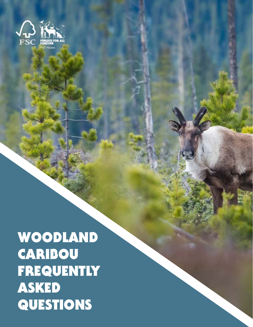

WOODLAND **CARIBOU** FREQUENTLY ASKED QUESTIONS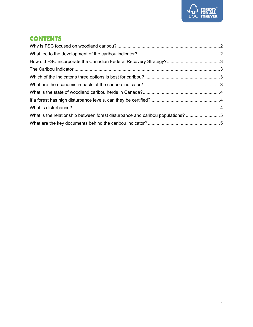

### **CONTENTS**

| What is the relationship between forest disturbance and caribou populations? 5 |  |
|--------------------------------------------------------------------------------|--|
|                                                                                |  |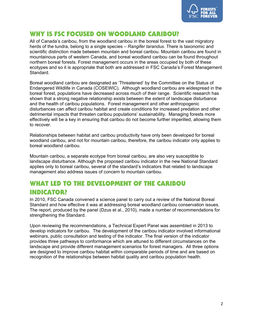

#### <span id="page-2-0"></span>[WHY IS FSC FOCUSED ON WOODLAND CARIBOU?](javascript:toggleElement()

All of Canada's caribou, from the woodland caribou in the boreal forest to the vast migratory herds of the tundra, belong to a single species – *Rangifer tarandus*. There is taxonomic and scientific distinction made between mountain and boreal caribou. Mountain caribou are found in mountainous parts of western Canada, and boreal woodland caribou can be found throughout northern boreal forests. Forest management occurs in the areas occupied by both of these ecotypes and so it is appropriate that both are addressed in FSC Canada's Forest Management Standard.

Boreal woodland caribou are designated as 'Threatened' by the Committee on the Status of Endangered Wildlife in Canada (COSEWIC). Although woodland caribou are widespread in the boreal forest, populations have decreased across much of their range. Scientific research has shown that a strong negative relationship exists between the extent of landscape disturbance and the health of caribou populations. Forest management and other anthropogenic disturbances can affect caribou habitat and create conditions for increased predation and other detrimental impacts that threaten caribou populations' sustainability. Managing forests more effectively will be a key in ensuring that caribou do not become further imperilled, allowing them to recover.

Relationships between habitat and caribou productivity have only been developed for boreal woodland caribou, and not for mountain caribou, therefore, the caribou indicator only applies to boreal woodland caribou.

Mountain caribou, a separate ecotype from boreal caribou, are also very susceptible to landscape disturbance. Although the proposed caribou indicator in the new National Standard applies only to boreal caribou, several of the standard's indicators that related to landscape management also address issues of concern to mountain caribou.

## <span id="page-2-1"></span>WHAT LED TO THE DEVELOPMENT OF THE CARIBOU INDICATOR?

In 2010, FSC Canada convened a science panel to carry out a review of the National Boreal Standard and how effective it was at addressing boreal woodland caribou conservation issues. The report, produced by the panel (Dzus et al., 2010), made a number of recommendations for strengthening the Standard.

Upon reviewing the recommendations, a Technical Expert Panel was assembled in 2013 to develop indicators for caribou. The development of the caribou indicator involved informational webinars, public consultation and testing of the indicator. The final version of the indicator provides three pathways to conformance which are attuned to different circumstances on the landscape and provide different management scenarios for forest managers. All three options are designed to improve caribou habitat within comparable periods of time and are based on recognition of the relationships between habitat quality and caribou population health.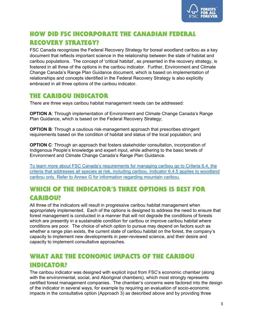

# <span id="page-3-0"></span>[HOW DID FSC INCORPORATE THE CANADIAN FEDERAL](javascript:toggleElement()  [RECOVERY STRATEGY?](javascript:toggleElement()

FSC Canada recognizes the Federal Recovery Strategy for boreal woodland caribou as a key document that reflects important science in the relationship between the state of habitat and caribou populations. The concept of 'critical habitat', as presented in the recovery strategy, is fostered in all three of the options in the caribou indicator. Further, Environment and Climate Change Canada's Range Plan Guidance document, which is based on implementation of relationships and concepts identified in the Federal Recovery Strategy is also explicitly embraced in all three options of the caribou indicator.

#### <span id="page-3-1"></span>THE CARIBOU INDICATOR

There are three ways caribou habitat management needs can be addressed:

**OPTION A**: Through implementation of Environment and Climate Change Canada's Range Plan Guidance, which is based on the Federal Recovery Strategy;

**OPTION B:** Through a cautious risk-management approach that prescribes stringent requirements based on the condition of habitat and status of the local population; and

**OPTION C:** Through an approach that fosters stakeholder consultation, incorporation of Indigenous People's knowledge and expert input, while adhering to the basic tenets of Environment and Climate Change Canada's Range Plan Guidance.

[To learn more about FSC Canada's requirements for managing caribou go to Criteria 6.4, the](https://ca.fsc.org/en-ca/standards/forest-management-standards)  [criteria that addresses all species at risk, including caribou. Indicator 6.4.5 applies to woodland](https://ca.fsc.org/en-ca/standards/forest-management-standards)  [caribou only. Refer to Annex G for information regarding mountain caribou.](https://ca.fsc.org/en-ca/standards/forest-management-standards)

# <span id="page-3-2"></span>WHICH OF THE INDICATOR'S THREE OPTIONS IS BEST FOR CARIBOU?

All three of the indicators will result in progressive caribou habitat management when appropriately implemented. Each of the options is designed to address the need to ensure that forest management is conducted in a manner that will not degrade the conditions of forests which are presently in a sustainable condition for caribou or improve caribou habitat where conditions are poor. The choice of which option to pursue may depend on factors such as whether a range plan exists, the current state of caribou habitat on the forest, the company's capacity to implement new developments in peer-reviewed science, and their desire and capacity to implement consultative approaches.

## <span id="page-3-3"></span>[WHAT ARE THE ECONOMIC IMPACTS OF THE CARIBOU](javascript:toggleElement()  [INDICATOR?](javascript:toggleElement()

The caribou indicator was designed with explicit input from FSC's economic chamber (along with the environmental, social, and Aboriginal chambers), which most strongly represents certified forest management companies. The chamber's concerns were factored into the design of the indicator in several ways, for example by requiring an evaluation of socio-economic impacts in the consultative option (Approach 3) as described above and by providing three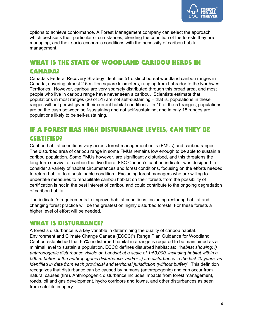

options to achieve conformance. A Forest Management company can select the approach which best suits their particular circumstances, blending the condition of the forests they are managing, and their socio-economic conditions with the necessity of caribou habitat management.

# <span id="page-4-0"></span>WHAT IS THE STATE OF WOODLAND CARIBOU HERDS IN CANADA?

Canada's Federal Recovery Strategy identifies 51 distinct boreal woodland caribou ranges in Canada, covering almost 2.5 million square kilometers, ranging from Labrador to the Northwest Territories. However, caribou are very sparsely distributed through this broad area, and most people who live in caribou range have never seen a caribou. Scientists estimate that populations in most ranges (26 of 51) are not self-sustaining – that is, populations in these ranges will not persist given their current habitat conditions. In 10 of the 51 ranges, populations are on the cusp between self-sustaining and not self-sustaining, and in only 15 ranges are populations likely to be self-sustaining.

### <span id="page-4-1"></span>IF A FOREST HAS HIGH DISTURBANCE LEVELS, CAN THEY BE CERTIFIED?

Caribou habitat conditions vary across forest management units (FMUs) and caribou ranges. The disturbed area of caribou range in some FMUs remains low enough to be able to sustain a caribou population. Some FMUs however, are significantly disturbed, and this threatens the long-term survival of caribou that live there. FSC Canada's caribou indicator was designed to consider a variety of habitat circumstances and forest conditions, focusing on the efforts needed to return habitat to a sustainable condition. Excluding forest managers who are willing to undertake measures to rehabilitate caribou habitat on their forests from the possibility of certification is not in the best interest of caribou and could contribute to the ongoing degradation of caribou habitat.

The indicator's requirements to improve habitat conditions, including restoring habitat and changing forest practice will be the greatest on highly disturbed forests. For these forests a higher level of effort will be needed.

#### <span id="page-4-2"></span>WHAT IS DISTURBANCE?

A forest's disturbance is a key variable in determining the quality of caribou habitat. Environment and Climate Change Canada (ECCC)'s Range Plan Guidance for Woodland Caribou established that 65% undisturbed habitat in a range is required to be maintained as a minimal level to sustain a population. ECCC defines disturbed habitat as: "h*abitat showing: i) anthropogenic disturbance visible on Landsat at a scale of 1:50,000, including habitat within a 500 m buffer of the anthropogenic disturbance; and/or ii) fire disturbance in the last 40 years, as identified in data from each provincial and territorial jurisdiction (without buffer)*". This definition recognizes that disturbance can be caused by humans (anthropogenic) and can occur from natural causes (fire). Anthropogenic disturbance includes impacts from forest management, roads, oil and gas development, hydro corridors and towns, and other disturbances as seen from satellite imagery.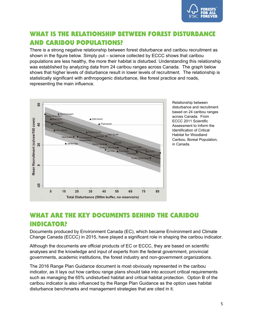

## <span id="page-5-0"></span>WHAT IS THE RELATIONSHIP BETWEEN FOREST DISTURBANCE AND CARIBOU POPULATIONS?

There is a strong negative relationship between forest disturbance and caribou recruitment as shown in the figure below. Simply put – science collected by ECCC shows that caribou populations are less healthy, the more their habitat is disturbed. Understanding this relationship was established by analyzing data from 24 caribou ranges across Canada. The graph below shows that higher levels of disturbance result in lower levels of recruitment. The relationship is statistically significant with anthropogenic disturbance, like forest practice and roads, representing the main influence.



Relationship between disturbance and recruitment based on 24 caribou ranges across Canada. From ECCC 2011 Scientific Assessment to Inform the Identification of Critical Habitat for Woodland Caribou, Boreal Population, in Canada.

#### <span id="page-5-1"></span>WHAT ARE THE KEY DOCUMENTS BEHIND THE CARIBOU INDICATOR?

Documents produced by Environment Canada (EC), which became Environment and Climate Change Canada (ECCC) in 2015, have played a significant role in shaping the caribou indicator.

Although the documents are official products of EC or ECCC, they are based on scientific analyses and the knowledge and input of experts from the federal government, provincial governments, academic institutions, the forest industry and non-government organizations.

The 2016 Range Plan Guidance document is most obviously represented in the caribou indicator, as it lays out how caribou range plans should take into account critical requirements such as managing the 65% undisturbed habitat and critical habitat protection. Option B of the caribou indicator is also influenced by the Range Plan Guidance as the option uses habitat disturbance benchmarks and management strategies that are cited in it.